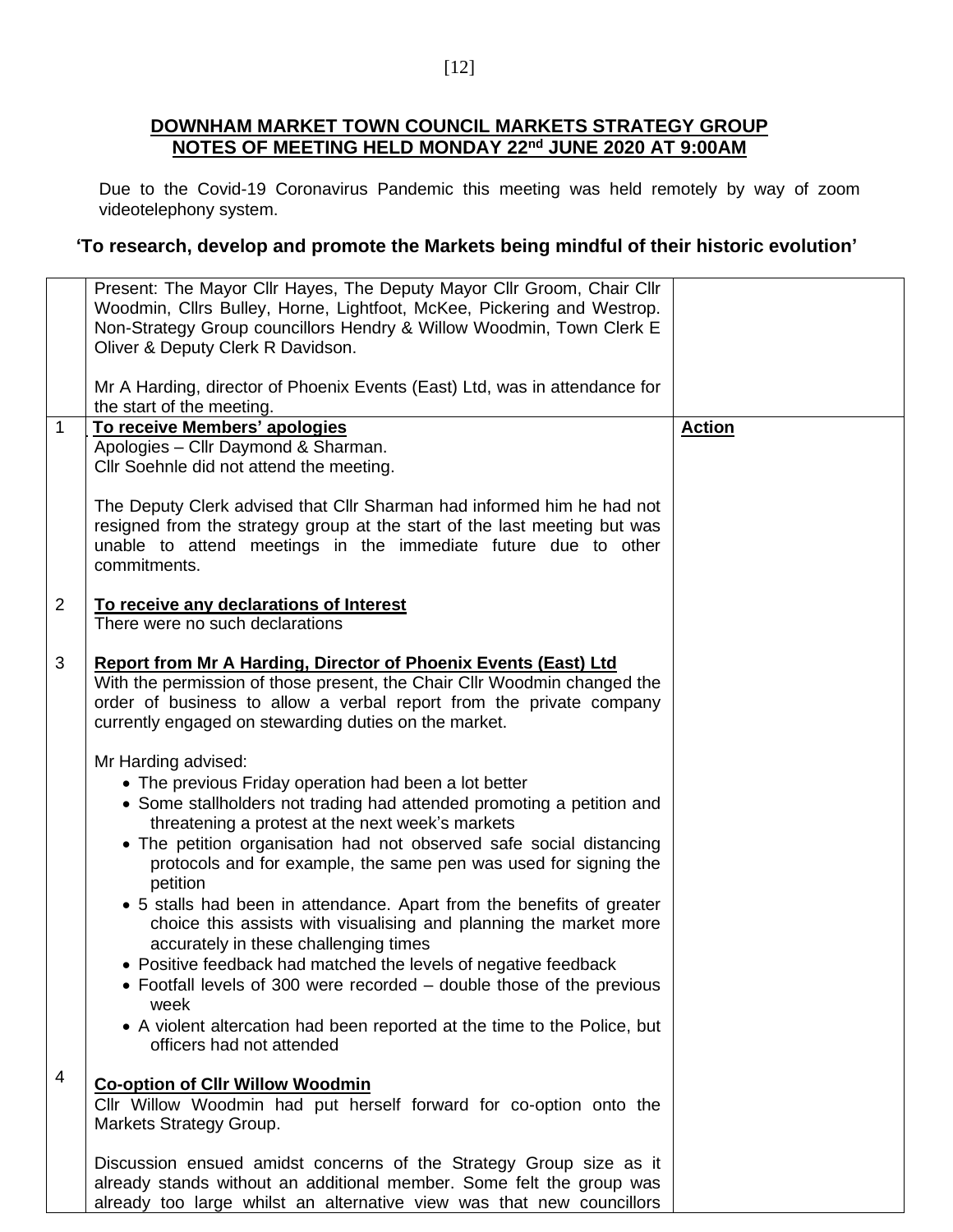## **DOWNHAM MARKET TOWN COUNCIL MARKETS STRATEGY GROUP NOTES OF MEETING HELD MONDAY 22nd JUNE 2020 AT 9:00AM**

Due to the Covid-19 Coronavirus Pandemic this meeting was held remotely by way of zoom videotelephony system.

## **'To research, develop and promote the Markets being mindful of their historic evolution'**

|                | Present: The Mayor Cllr Hayes, The Deputy Mayor Cllr Groom, Chair Cllr<br>Woodmin, Cllrs Bulley, Horne, Lightfoot, McKee, Pickering and Westrop.<br>Non-Strategy Group councillors Hendry & Willow Woodmin, Town Clerk E<br>Oliver & Deputy Clerk R Davidson.                      |               |
|----------------|------------------------------------------------------------------------------------------------------------------------------------------------------------------------------------------------------------------------------------------------------------------------------------|---------------|
|                | Mr A Harding, director of Phoenix Events (East) Ltd, was in attendance for<br>the start of the meeting.                                                                                                                                                                            |               |
| $\mathbf{1}$   | To receive Members' apologies                                                                                                                                                                                                                                                      | <b>Action</b> |
|                |                                                                                                                                                                                                                                                                                    |               |
|                | Apologies - Cllr Daymond & Sharman.                                                                                                                                                                                                                                                |               |
|                | Cllr Soehnle did not attend the meeting.                                                                                                                                                                                                                                           |               |
|                | The Deputy Clerk advised that Cllr Sharman had informed him he had not<br>resigned from the strategy group at the start of the last meeting but was<br>unable to attend meetings in the immediate future due to other<br>commitments.                                              |               |
| $\overline{2}$ | To receive any declarations of Interest<br>There were no such declarations                                                                                                                                                                                                         |               |
| 3              | <b>Report from Mr A Harding, Director of Phoenix Events (East) Ltd</b><br>With the permission of those present, the Chair Cllr Woodmin changed the<br>order of business to allow a verbal report from the private company<br>currently engaged on stewarding duties on the market. |               |
|                |                                                                                                                                                                                                                                                                                    |               |
|                | Mr Harding advised:                                                                                                                                                                                                                                                                |               |
|                | • The previous Friday operation had been a lot better                                                                                                                                                                                                                              |               |
|                |                                                                                                                                                                                                                                                                                    |               |
|                | • Some stallholders not trading had attended promoting a petition and                                                                                                                                                                                                              |               |
|                | threatening a protest at the next week's markets                                                                                                                                                                                                                                   |               |
|                |                                                                                                                                                                                                                                                                                    |               |
|                | • The petition organisation had not observed safe social distancing                                                                                                                                                                                                                |               |
|                | protocols and for example, the same pen was used for signing the                                                                                                                                                                                                                   |               |
|                |                                                                                                                                                                                                                                                                                    |               |
|                | petition                                                                                                                                                                                                                                                                           |               |
|                | • 5 stalls had been in attendance. Apart from the benefits of greater                                                                                                                                                                                                              |               |
|                | choice this assists with visualising and planning the market more                                                                                                                                                                                                                  |               |
|                |                                                                                                                                                                                                                                                                                    |               |
|                | accurately in these challenging times                                                                                                                                                                                                                                              |               |
|                | • Positive feedback had matched the levels of negative feedback                                                                                                                                                                                                                    |               |
|                | • Footfall levels of 300 were recorded – double those of the previous                                                                                                                                                                                                              |               |
|                |                                                                                                                                                                                                                                                                                    |               |
|                | week                                                                                                                                                                                                                                                                               |               |
|                | • A violent altercation had been reported at the time to the Police, but<br>officers had not attended                                                                                                                                                                              |               |
| 4              |                                                                                                                                                                                                                                                                                    |               |
|                | <b>Co-option of Cllr Willow Woodmin</b>                                                                                                                                                                                                                                            |               |
|                | Cllr Willow Woodmin had put herself forward for co-option onto the                                                                                                                                                                                                                 |               |
|                | Markets Strategy Group.                                                                                                                                                                                                                                                            |               |
|                |                                                                                                                                                                                                                                                                                    |               |
|                |                                                                                                                                                                                                                                                                                    |               |
|                | Discussion ensued amidst concerns of the Strategy Group size as it                                                                                                                                                                                                                 |               |
|                | already stands without an additional member. Some felt the group was                                                                                                                                                                                                               |               |
|                | already too large whilst an alternative view was that new councillors                                                                                                                                                                                                              |               |
|                |                                                                                                                                                                                                                                                                                    |               |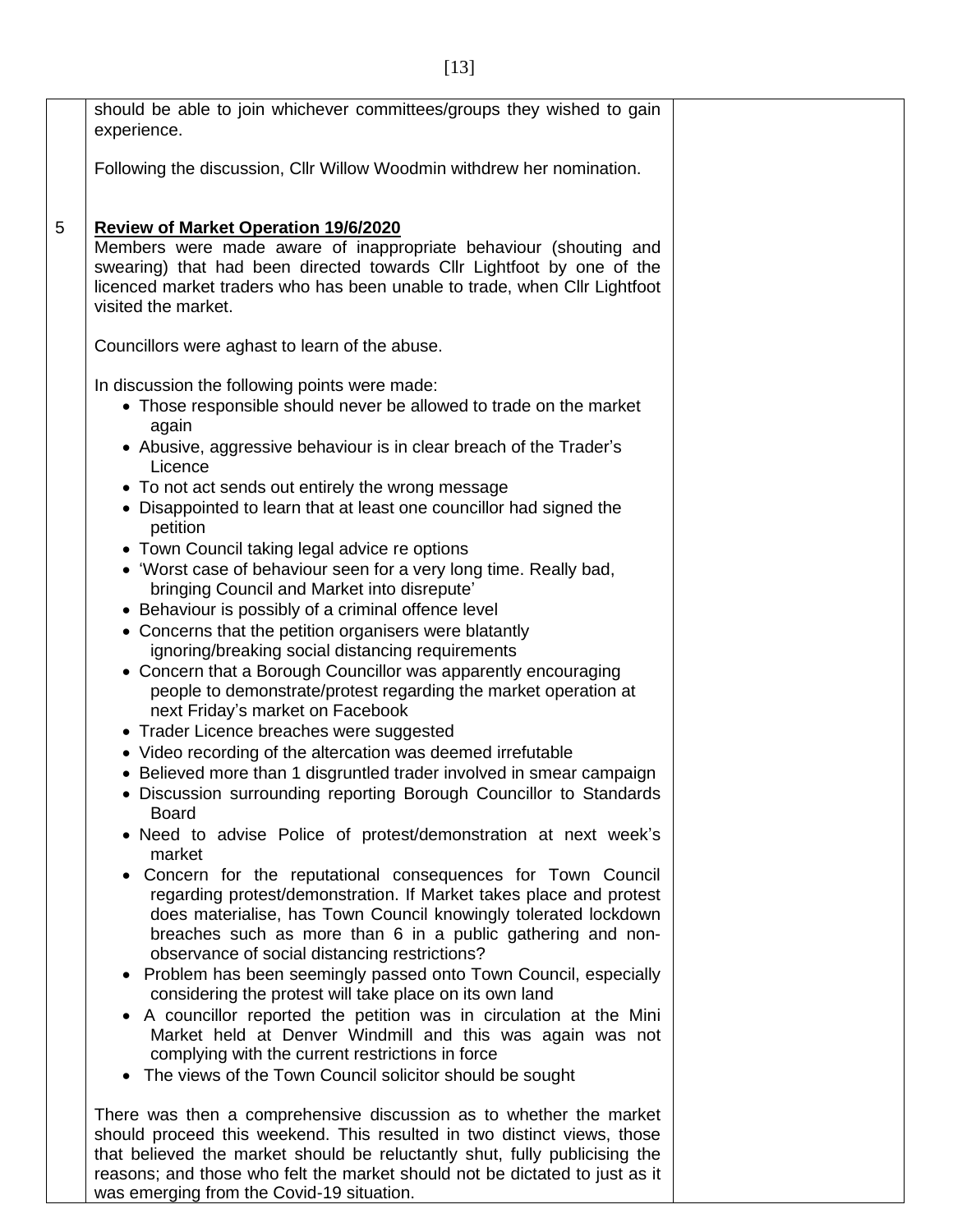|   | should be able to join whichever committees/groups they wished to gain<br>experience.                                                                                                                                                                                                                                                                                                                                                                                                                                                                                                                                                                                                                                                                                                                                                                                                                                                                                                                                                                                                                                                                                                                                                                                                                                                                                                                                                                                                                                                                                                                                                                                                                                                                                                                                                                                                                                                                                        |
|---|------------------------------------------------------------------------------------------------------------------------------------------------------------------------------------------------------------------------------------------------------------------------------------------------------------------------------------------------------------------------------------------------------------------------------------------------------------------------------------------------------------------------------------------------------------------------------------------------------------------------------------------------------------------------------------------------------------------------------------------------------------------------------------------------------------------------------------------------------------------------------------------------------------------------------------------------------------------------------------------------------------------------------------------------------------------------------------------------------------------------------------------------------------------------------------------------------------------------------------------------------------------------------------------------------------------------------------------------------------------------------------------------------------------------------------------------------------------------------------------------------------------------------------------------------------------------------------------------------------------------------------------------------------------------------------------------------------------------------------------------------------------------------------------------------------------------------------------------------------------------------------------------------------------------------------------------------------------------------|
|   | Following the discussion, Cllr Willow Woodmin withdrew her nomination.                                                                                                                                                                                                                                                                                                                                                                                                                                                                                                                                                                                                                                                                                                                                                                                                                                                                                                                                                                                                                                                                                                                                                                                                                                                                                                                                                                                                                                                                                                                                                                                                                                                                                                                                                                                                                                                                                                       |
| 5 | <b>Review of Market Operation 19/6/2020</b><br>Members were made aware of inappropriate behaviour (shouting and<br>swearing) that had been directed towards Cllr Lightfoot by one of the<br>licenced market traders who has been unable to trade, when Cllr Lightfoot<br>visited the market.                                                                                                                                                                                                                                                                                                                                                                                                                                                                                                                                                                                                                                                                                                                                                                                                                                                                                                                                                                                                                                                                                                                                                                                                                                                                                                                                                                                                                                                                                                                                                                                                                                                                                 |
|   | Councillors were aghast to learn of the abuse.                                                                                                                                                                                                                                                                                                                                                                                                                                                                                                                                                                                                                                                                                                                                                                                                                                                                                                                                                                                                                                                                                                                                                                                                                                                                                                                                                                                                                                                                                                                                                                                                                                                                                                                                                                                                                                                                                                                               |
|   | In discussion the following points were made:<br>• Those responsible should never be allowed to trade on the market<br>again<br>• Abusive, aggressive behaviour is in clear breach of the Trader's<br>Licence<br>• To not act sends out entirely the wrong message<br>• Disappointed to learn that at least one councillor had signed the<br>petition<br>• Town Council taking legal advice re options<br>• 'Worst case of behaviour seen for a very long time. Really bad,<br>bringing Council and Market into disrepute'<br>• Behaviour is possibly of a criminal offence level<br>• Concerns that the petition organisers were blatantly<br>ignoring/breaking social distancing requirements<br>• Concern that a Borough Councillor was apparently encouraging<br>people to demonstrate/protest regarding the market operation at<br>next Friday's market on Facebook<br>• Trader Licence breaches were suggested<br>• Video recording of the altercation was deemed irrefutable<br>• Believed more than 1 disgruntled trader involved in smear campaign<br>Discussion surrounding reporting Borough Councillor to Standards<br><b>Board</b><br>• Need to advise Police of protest/demonstration at next week's<br>market<br>Concern for the reputational consequences for Town Council<br>$\bullet$<br>regarding protest/demonstration. If Market takes place and protest<br>does materialise, has Town Council knowingly tolerated lockdown<br>breaches such as more than 6 in a public gathering and non-<br>observance of social distancing restrictions?<br>• Problem has been seemingly passed onto Town Council, especially<br>considering the protest will take place on its own land<br>A councillor reported the petition was in circulation at the Mini<br>$\bullet$<br>Market held at Denver Windmill and this was again was not<br>complying with the current restrictions in force<br>The views of the Town Council solicitor should be sought<br>$\bullet$ |
|   | There was then a comprehensive discussion as to whether the market<br>should proceed this weekend. This resulted in two distinct views, those<br>that believed the market should be reluctantly shut, fully publicising the<br>reasons; and those who felt the market should not be dictated to just as it                                                                                                                                                                                                                                                                                                                                                                                                                                                                                                                                                                                                                                                                                                                                                                                                                                                                                                                                                                                                                                                                                                                                                                                                                                                                                                                                                                                                                                                                                                                                                                                                                                                                   |

was emerging from the Covid-19 situation.